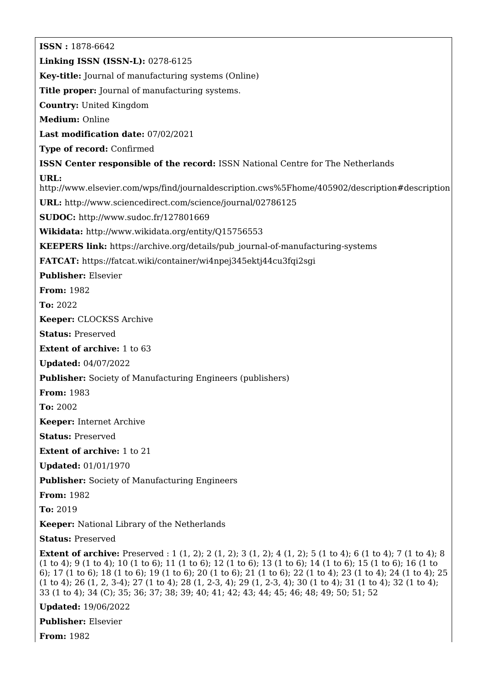**ISSN :** 1878-6642 **Linking ISSN (ISSN-L):** 0278-6125 **Key-title:** Journal of manufacturing systems (Online) **Title proper:** Journal of manufacturing systems. **Country:** United Kingdom **Medium:** Online **Last modification date:** 07/02/2021 **Type of record:** Confirmed **ISSN Center responsible of the record:** ISSN National Centre for The Netherlands **URL:** <http://www.elsevier.com/wps/find/journaldescription.cws%5Fhome/405902/description#description> **URL:** <http://www.sciencedirect.com/science/journal/02786125> **SUDOC:** <http://www.sudoc.fr/127801669> **Wikidata:** <http://www.wikidata.org/entity/Q15756553> **KEEPERS link:** [https://archive.org/details/pub\\_journal-of-manufacturing-systems](https://archive.org/details/pub_journal-of-manufacturing-systems) **FATCAT:** <https://fatcat.wiki/container/wi4npej345ektj44cu3fqi2sgi> **Publisher:** Elsevier **From:** 1982 **To:** 2022 **Keeper:** CLOCKSS Archive **Status:** Preserved **Extent of archive:** 1 to 63 **Updated:** 04/07/2022 **Publisher:** Society of Manufacturing Engineers (publishers) **From:** 1983 **To:** 2002 **Keeper:** Internet Archive **Status:** Preserved **Extent of archive:** 1 to 21 **Updated:** 01/01/1970 **Publisher:** Society of Manufacturing Engineers **From:** 1982 **To:** 2019 **Keeper:** National Library of the Netherlands **Status:** Preserved **Extent of archive:** Preserved : 1 (1, 2); 2 (1, 2); 3 (1, 2); 4 (1, 2); 5 (1 to 4); 6 (1 to 4); 7 (1 to 4); 8 (1 to 4); 9 (1 to 4); 10 (1 to 6); 11 (1 to 6); 12 (1 to 6); 13 (1 to 6); 14 (1 to 6); 15 (1 to 6); 16 (1 to 6); 17 (1 to 6); 18 (1 to 6); 19 (1 to 6); 20 (1 to 6); 21 (1 to 6); 22 (1 to 4); 23 (1 to 4); 24 (1 to 4); 25 (1 to 4); 26 (1, 2, 3-4); 27 (1 to 4); 28 (1, 2-3, 4); 29 (1, 2-3, 4); 30 (1 to 4); 31 (1 to 4); 32 (1 to 4); 33 (1 to 4); 34 (C); 35; 36; 37; 38; 39; 40; 41; 42; 43; 44; 45; 46; 48; 49; 50; 51; 52 **Updated:** 19/06/2022 **Publisher:** Elsevier

**From:** 1982